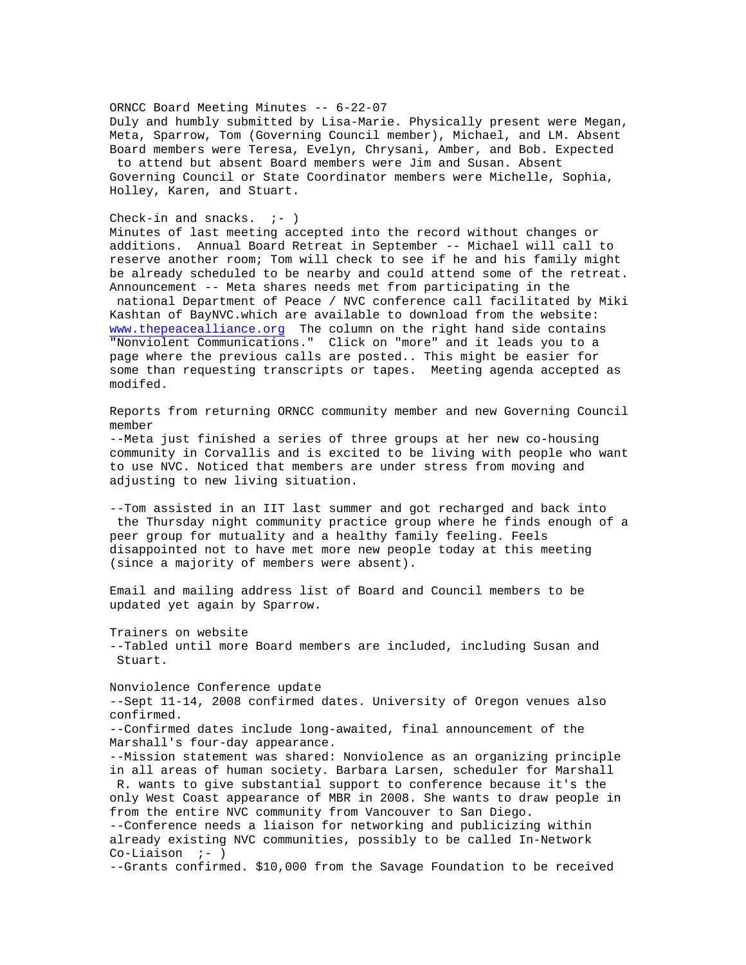## ORNCC Board Meeting Minutes -- 6-22-07

Duly and humbly submitted by Lisa-Marie. Physically present were Megan, Meta, Sparrow, Tom (Governing Council member), Michael, and LM. Absent Board members were Teresa, Evelyn, Chrysani, Amber, and Bob. Expected to attend but absent Board members were Jim and Susan. Absent Governing Council or State Coordinator members were Michelle, Sophia, Holley, Karen, and Stuart.

## Check-in and snacks.  $i-$  )

Minutes of last meeting accepted into the record without changes or additions. Annual Board Retreat in September -- Michael will call to reserve another room; Tom will check to see if he and his family might be already scheduled to be nearby and could attend some of the retreat. Announcement -- Meta shares needs met from participating in the national Department of Peace / NVC conference call facilitated by Miki Kashtan of BayNVC.which are available to download from the website: www.thepeacealliance.org The column on the right hand side contains "Nonviolent Communications." Click on "more" and it leads you to a page where the previous calls are posted.. This might be easier for some than requesting transcripts or tapes. Meeting agenda accepted as modifed.

Reports from returning ORNCC community member and new Governing Council member

--Meta just finished a series of three groups at her new co-housing community in Corvallis and is excited to be living with people who want to use NVC. Noticed that members are under stress from moving and adjusting to new living situation.

--Tom assisted in an IIT last summer and got recharged and back into the Thursday night community practice group where he finds enough of a peer group for mutuality and a healthy family feeling. Feels disappointed not to have met more new people today at this meeting (since a majority of members were absent).

Email and mailing address list of Board and Council members to be updated yet again by Sparrow.

Trainers on website --Tabled until more Board members are included, including Susan and Stuart.

Nonviolence Conference update --Sept 11-14, 2008 confirmed dates. University of Oregon venues also confirmed. --Confirmed dates include long-awaited, final announcement of the Marshall's four-day appearance. --Mission statement was shared: Nonviolence as an organizing principle in all areas of human society. Barbara Larsen, scheduler for Marshall R. wants to give substantial support to conference because it's the only West Coast appearance of MBR in 2008. She wants to draw people in from the entire NVC community from Vancouver to San Diego. --Conference needs a liaison for networking and publicizing within already existing NVC communities, possibly to be called In-Network  $Co-Liaison$  ;- ) --Grants confirmed. \$10,000 from the Savage Foundation to be received